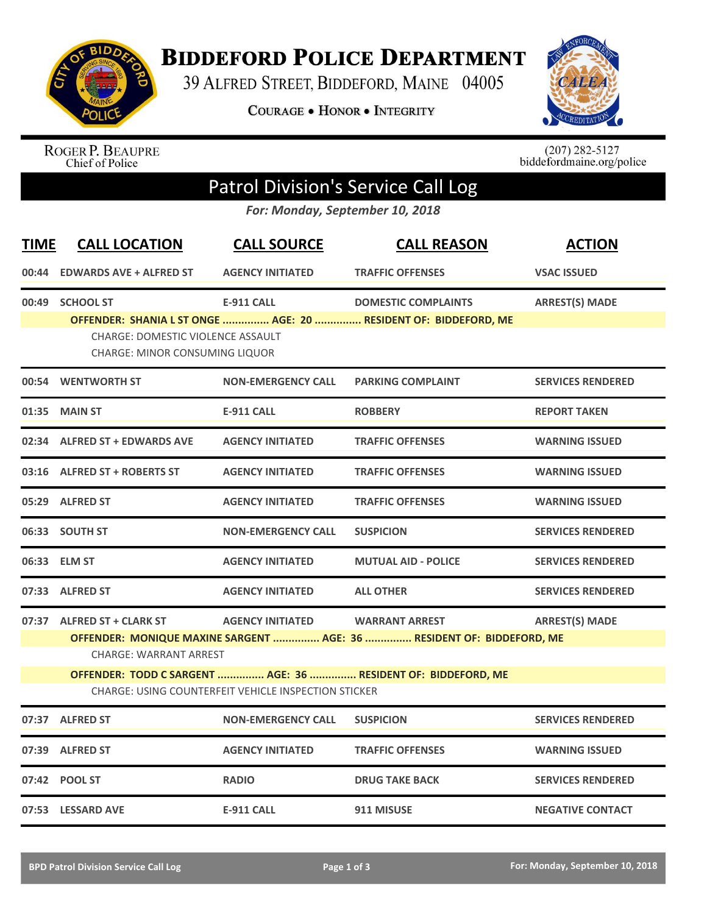

**BIDDEFORD POLICE DEPARTMENT** 

39 ALFRED STREET, BIDDEFORD, MAINE 04005

**COURAGE . HONOR . INTEGRITY** 



ROGER P. BEAUPRE<br>Chief of Police

 $(207)$  282-5127<br>biddefordmaine.org/police

## Patrol Division's Service Call Log

*For: Monday, September 10, 2018*

| <b>TIME</b> | <b>CALL LOCATION</b>                                                                                                  | <b>CALL SOURCE</b>        | <b>CALL REASON</b>                                              | <b>ACTION</b>            |  |  |
|-------------|-----------------------------------------------------------------------------------------------------------------------|---------------------------|-----------------------------------------------------------------|--------------------------|--|--|
| 00:44       | <b>EDWARDS AVE + ALFRED ST</b>                                                                                        | <b>AGENCY INITIATED</b>   | <b>TRAFFIC OFFENSES</b>                                         | <b>VSAC ISSUED</b>       |  |  |
|             | 00:49 SCHOOL ST                                                                                                       | <b>E-911 CALL</b>         | <b>DOMESTIC COMPLAINTS</b>                                      | <b>ARREST(S) MADE</b>    |  |  |
|             | <b>CHARGE: DOMESTIC VIOLENCE ASSAULT</b><br><b>CHARGE: MINOR CONSUMING LIQUOR</b>                                     |                           | OFFENDER: SHANIA L ST ONGE  AGE: 20  RESIDENT OF: BIDDEFORD, ME |                          |  |  |
|             | 00:54 WENTWORTH ST                                                                                                    | <b>NON-EMERGENCY CALL</b> | <b>PARKING COMPLAINT</b>                                        | <b>SERVICES RENDERED</b> |  |  |
| 01:35       | <b>MAIN ST</b>                                                                                                        | <b>E-911 CALL</b>         | <b>ROBBERY</b>                                                  | <b>REPORT TAKEN</b>      |  |  |
|             | 02:34 ALFRED ST + EDWARDS AVE                                                                                         | <b>AGENCY INITIATED</b>   | <b>TRAFFIC OFFENSES</b>                                         | <b>WARNING ISSUED</b>    |  |  |
|             | 03:16 ALFRED ST + ROBERTS ST                                                                                          | <b>AGENCY INITIATED</b>   | <b>TRAFFIC OFFENSES</b>                                         | <b>WARNING ISSUED</b>    |  |  |
|             | 05:29 ALFRED ST                                                                                                       | <b>AGENCY INITIATED</b>   | <b>TRAFFIC OFFENSES</b>                                         | <b>WARNING ISSUED</b>    |  |  |
| 06:33       | <b>SOUTH ST</b>                                                                                                       | <b>NON-EMERGENCY CALL</b> | <b>SUSPICION</b>                                                | <b>SERVICES RENDERED</b> |  |  |
| 06:33       | <b>ELM ST</b>                                                                                                         | <b>AGENCY INITIATED</b>   | <b>MUTUAL AID - POLICE</b>                                      | <b>SERVICES RENDERED</b> |  |  |
|             | 07:33 ALFRED ST                                                                                                       | <b>AGENCY INITIATED</b>   | <b>ALL OTHER</b>                                                | <b>SERVICES RENDERED</b> |  |  |
|             | 07:37 ALFRED ST + CLARK ST                                                                                            | <b>AGENCY INITIATED</b>   | <b>WARRANT ARREST</b>                                           | <b>ARREST(S) MADE</b>    |  |  |
|             | OFFENDER: MONIQUE MAXINE SARGENT  AGE: 36  RESIDENT OF: BIDDEFORD, ME<br><b>CHARGE: WARRANT ARREST</b>                |                           |                                                                 |                          |  |  |
|             | OFFENDER: TODD C SARGENT  AGE: 36  RESIDENT OF: BIDDEFORD, ME<br>CHARGE: USING COUNTERFEIT VEHICLE INSPECTION STICKER |                           |                                                                 |                          |  |  |
|             | 07:37 ALFRED ST                                                                                                       | <b>NON-EMERGENCY CALL</b> | <b>SUSPICION</b>                                                | <b>SERVICES RENDERED</b> |  |  |
|             | 07:39 ALFRED ST                                                                                                       | <b>AGENCY INITIATED</b>   | <b>TRAFFIC OFFENSES</b>                                         | <b>WARNING ISSUED</b>    |  |  |
|             | 07:42 POOL ST                                                                                                         | <b>RADIO</b>              | <b>DRUG TAKE BACK</b>                                           | <b>SERVICES RENDERED</b> |  |  |
|             | 07:53 LESSARD AVE                                                                                                     | <b>E-911 CALL</b>         | 911 MISUSE                                                      | <b>NEGATIVE CONTACT</b>  |  |  |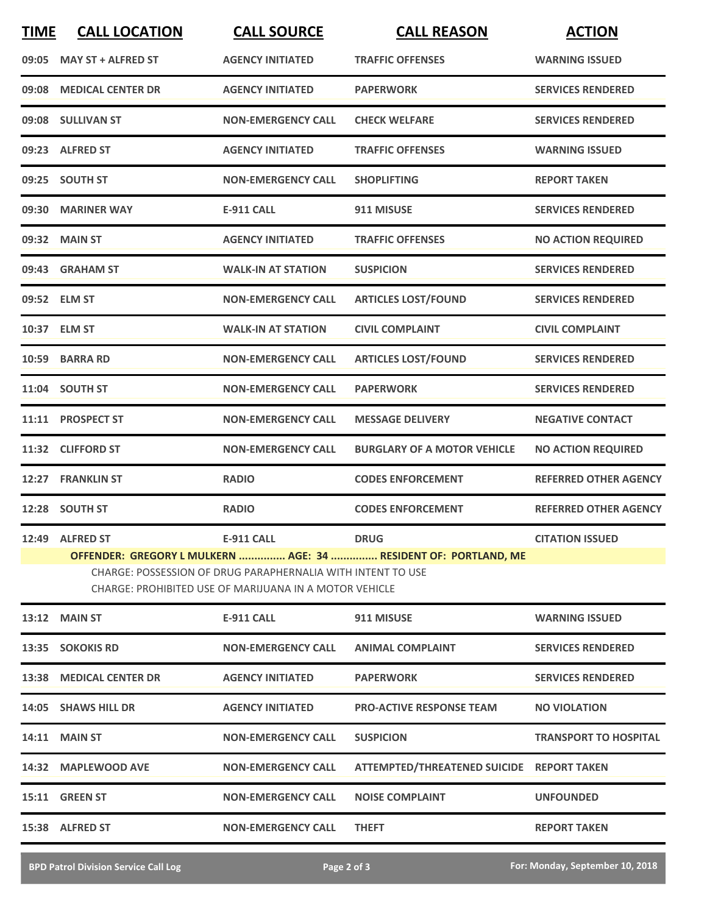| <b>TIME</b>                                                                                                           | <b>CALL LOCATION</b>      | <b>CALL SOURCE</b>               | <b>CALL REASON</b>                                              | <b>ACTION</b>                |  |  |
|-----------------------------------------------------------------------------------------------------------------------|---------------------------|----------------------------------|-----------------------------------------------------------------|------------------------------|--|--|
| 09:05                                                                                                                 | <b>MAY ST + ALFRED ST</b> | <b>AGENCY INITIATED</b>          | <b>TRAFFIC OFFENSES</b>                                         | <b>WARNING ISSUED</b>        |  |  |
| 09:08                                                                                                                 | <b>MEDICAL CENTER DR</b>  | <b>AGENCY INITIATED</b>          | <b>PAPERWORK</b>                                                | <b>SERVICES RENDERED</b>     |  |  |
|                                                                                                                       | 09:08 SULLIVAN ST         | <b>NON-EMERGENCY CALL</b>        | <b>CHECK WELFARE</b>                                            | <b>SERVICES RENDERED</b>     |  |  |
|                                                                                                                       | 09:23 ALFRED ST           | <b>AGENCY INITIATED</b>          | <b>TRAFFIC OFFENSES</b>                                         | <b>WARNING ISSUED</b>        |  |  |
|                                                                                                                       | 09:25 SOUTH ST            | <b>NON-EMERGENCY CALL</b>        | <b>SHOPLIFTING</b>                                              | <b>REPORT TAKEN</b>          |  |  |
| 09:30                                                                                                                 | <b>MARINER WAY</b>        | <b>E-911 CALL</b>                | 911 MISUSE                                                      | <b>SERVICES RENDERED</b>     |  |  |
| 09:32                                                                                                                 | <b>MAIN ST</b>            | <b>AGENCY INITIATED</b>          | <b>TRAFFIC OFFENSES</b>                                         | <b>NO ACTION REQUIRED</b>    |  |  |
| 09:43                                                                                                                 | <b>GRAHAM ST</b>          | <b>WALK-IN AT STATION</b>        | <b>SUSPICION</b>                                                | <b>SERVICES RENDERED</b>     |  |  |
| 09:52                                                                                                                 | <b>ELM ST</b>             | <b>NON-EMERGENCY CALL</b>        | <b>ARTICLES LOST/FOUND</b>                                      | <b>SERVICES RENDERED</b>     |  |  |
| 10:37                                                                                                                 | <b>ELM ST</b>             | <b>WALK-IN AT STATION</b>        | <b>CIVIL COMPLAINT</b>                                          | <b>CIVIL COMPLAINT</b>       |  |  |
| 10:59                                                                                                                 | <b>BARRA RD</b>           | <b>NON-EMERGENCY CALL</b>        | <b>ARTICLES LOST/FOUND</b>                                      | <b>SERVICES RENDERED</b>     |  |  |
|                                                                                                                       | 11:04 SOUTH ST            | <b>NON-EMERGENCY CALL</b>        | <b>PAPERWORK</b>                                                | <b>SERVICES RENDERED</b>     |  |  |
| 11:11                                                                                                                 | <b>PROSPECT ST</b>        | <b>NON-EMERGENCY CALL</b>        | <b>MESSAGE DELIVERY</b>                                         | <b>NEGATIVE CONTACT</b>      |  |  |
| 11:32                                                                                                                 | <b>CLIFFORD ST</b>        | <b>NON-EMERGENCY CALL</b>        | <b>BURGLARY OF A MOTOR VEHICLE</b>                              | <b>NO ACTION REQUIRED</b>    |  |  |
| 12:27                                                                                                                 | <b>FRANKLIN ST</b>        | <b>RADIO</b>                     | <b>CODES ENFORCEMENT</b>                                        | <b>REFERRED OTHER AGENCY</b> |  |  |
|                                                                                                                       | 12:28 SOUTH ST            | <b>RADIO</b>                     | <b>CODES ENFORCEMENT</b>                                        | <b>REFERRED OTHER AGENCY</b> |  |  |
|                                                                                                                       | 12:49 ALFRED ST           | <b>E-911 CALL</b><br><b>DRUG</b> |                                                                 | <b>CITATION ISSUED</b>       |  |  |
|                                                                                                                       |                           |                                  | OFFENDER: GREGORY L MULKERN  AGE: 34  RESIDENT OF: PORTLAND, ME |                              |  |  |
| CHARGE: POSSESSION OF DRUG PARAPHERNALIA WITH INTENT TO USE<br>CHARGE: PROHIBITED USE OF MARIJUANA IN A MOTOR VEHICLE |                           |                                  |                                                                 |                              |  |  |
|                                                                                                                       | <b>13:12 MAIN ST</b>      | <b>E-911 CALL</b>                | 911 MISUSE                                                      | <b>WARNING ISSUED</b>        |  |  |
|                                                                                                                       | 13:35 SOKOKIS RD          | <b>NON-EMERGENCY CALL</b>        | <b>ANIMAL COMPLAINT</b>                                         | <b>SERVICES RENDERED</b>     |  |  |
|                                                                                                                       | 13:38 MEDICAL CENTER DR   | <b>AGENCY INITIATED</b>          | <b>PAPERWORK</b>                                                | <b>SERVICES RENDERED</b>     |  |  |
|                                                                                                                       | 14:05 SHAWS HILL DR       | <b>AGENCY INITIATED</b>          | <b>PRO-ACTIVE RESPONSE TEAM</b>                                 | <b>NO VIOLATION</b>          |  |  |
|                                                                                                                       | <b>14:11 MAIN ST</b>      | <b>NON-EMERGENCY CALL</b>        | <b>SUSPICION</b>                                                | <b>TRANSPORT TO HOSPITAL</b> |  |  |
|                                                                                                                       | 14:32 MAPLEWOOD AVE       | <b>NON-EMERGENCY CALL</b>        | ATTEMPTED/THREATENED SUICIDE REPORT TAKEN                       |                              |  |  |
|                                                                                                                       | 15:11 GREEN ST            | <b>NON-EMERGENCY CALL</b>        | <b>NOISE COMPLAINT</b>                                          | <b>UNFOUNDED</b>             |  |  |
|                                                                                                                       | 15:38 ALFRED ST           | <b>NON-EMERGENCY CALL</b>        | <b>THEFT</b>                                                    | <b>REPORT TAKEN</b>          |  |  |
|                                                                                                                       |                           |                                  |                                                                 |                              |  |  |